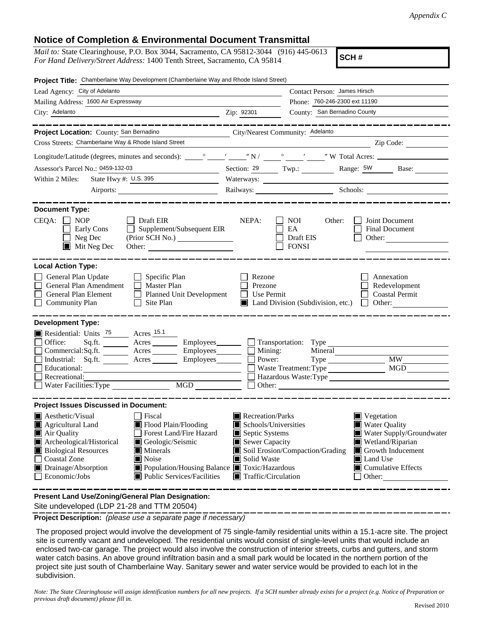## **Notice of Completion & Environmental Document Transmittal**

*Mail to:* State Clearinghouse, P.O. Box 3044, Sacramento, CA 95812-3044 (916) 445-0613 *For Hand Delivery/Street Address:* 1400 Tenth Street, Sacramento, CA 95814

**SCH #**

| Project Title: Chamberlaine Way Development (Chamberlaine Way and Rhode Island Street)                                                                                                                                                                                                                                                                                                                                                                                                                                                                                     |                                                                                                                                                                      |                                     |                                                                                                                                                                                     |
|----------------------------------------------------------------------------------------------------------------------------------------------------------------------------------------------------------------------------------------------------------------------------------------------------------------------------------------------------------------------------------------------------------------------------------------------------------------------------------------------------------------------------------------------------------------------------|----------------------------------------------------------------------------------------------------------------------------------------------------------------------|-------------------------------------|-------------------------------------------------------------------------------------------------------------------------------------------------------------------------------------|
| Lead Agency: City of Adelanto                                                                                                                                                                                                                                                                                                                                                                                                                                                                                                                                              | Contact Person: James Hirsch                                                                                                                                         |                                     |                                                                                                                                                                                     |
| Mailing Address: 1600 Air Expressway                                                                                                                                                                                                                                                                                                                                                                                                                                                                                                                                       |                                                                                                                                                                      | Phone: 760-246-2300 ext 11190       |                                                                                                                                                                                     |
| City: Adelanto                                                                                                                                                                                                                                                                                                                                                                                                                                                                                                                                                             | Zip: 92301                                                                                                                                                           | County: San Bernadino County        |                                                                                                                                                                                     |
|                                                                                                                                                                                                                                                                                                                                                                                                                                                                                                                                                                            |                                                                                                                                                                      |                                     | _________________                                                                                                                                                                   |
| Project Location: County: San Bernadino                                                                                                                                                                                                                                                                                                                                                                                                                                                                                                                                    | City/Nearest Community: Adelanto                                                                                                                                     |                                     |                                                                                                                                                                                     |
| Cross Streets: Chamberlaine Way & Rhode Island Street                                                                                                                                                                                                                                                                                                                                                                                                                                                                                                                      |                                                                                                                                                                      |                                     | Zip Code:                                                                                                                                                                           |
|                                                                                                                                                                                                                                                                                                                                                                                                                                                                                                                                                                            |                                                                                                                                                                      |                                     |                                                                                                                                                                                     |
| Assessor's Parcel No.: 0459-132-03<br><u> 1980 - John Barn Barn, mars and de la partie de la partie de la partie de la partie de la partie de la partie</u>                                                                                                                                                                                                                                                                                                                                                                                                                |                                                                                                                                                                      |                                     | Section: 29 Twp.: Range: 5W Base:                                                                                                                                                   |
| State Hwy #: U.S. 395<br>Within 2 Miles:                                                                                                                                                                                                                                                                                                                                                                                                                                                                                                                                   | Waterways:                                                                                                                                                           |                                     |                                                                                                                                                                                     |
|                                                                                                                                                                                                                                                                                                                                                                                                                                                                                                                                                                            |                                                                                                                                                                      |                                     | Railways: Schools: Schools:                                                                                                                                                         |
| <b>Document Type:</b><br>$CEQA: \Box NOP$<br>    Draft EIR<br>Supplement/Subsequent EIR<br>Early Cons<br>Neg Dec<br>$\blacksquare$ Mit Neg Dec<br>Other:                                                                                                                                                                                                                                                                                                                                                                                                                   | NEPA:<br><b>NOI</b><br>EA                                                                                                                                            | Other:<br>Draft EIS<br><b>FONSI</b> | Joint Document<br><b>Final Document</b><br>Other:                                                                                                                                   |
| <b>Local Action Type:</b><br>General Plan Update<br>$\Box$ Specific Plan<br>General Plan Amendment<br><b>Master Plan</b><br>Planned Unit Development<br>General Plan Element<br><b>Community Plan</b><br>Site Plan<br>$\mathsf{L}$                                                                                                                                                                                                                                                                                                                                         | Rezone<br>Prezone<br>$\Box$ Use Permit                                                                                                                               | Land Division (Subdivision, etc.)   | Annexation<br>Redevelopment<br><b>Coastal Permit</b><br>Other: $\qquad \qquad$<br>$\mathbf{1}$                                                                                      |
| <b>Development Type:</b><br>Residential: Units <sup>75</sup> Acres <sup>15.1</sup><br>Office:<br>$Sq.fit.$ Acres<br>$Commercial:Sq.fit.$ $\overline{\qquad}$ Acres $\overline{\qquad}$ Employees $\overline{\qquad}$ Mining:<br>Industrial: Sq.ft. Acres<br>Employees_________<br>Educational:<br>Recreational:<br>Water Facilities: Type<br>MGD THE MODEL SERVICE STATES OF THE STATE STATES OF THE STATE STATES OF THE STATE STATES OF THE STATE STATES OF THE STATE STATES OF THE STATE STATES OF THE STATE STATES OF THE STATE STATES OF THE STATE STATES OF THE STATE | Employees<br><u>Community</u> Transportation: Type<br>Power:                                                                                                         | Waste Treatment: Type<br>Other:     | <b>MW</b><br>MGD<br>Hazardous Waste:Type                                                                                                                                            |
| <b>Project Issues Discussed in Document:</b>                                                                                                                                                                                                                                                                                                                                                                                                                                                                                                                               |                                                                                                                                                                      |                                     |                                                                                                                                                                                     |
| $\blacksquare$ Aesthetic/Visual<br>Fiscal<br>Flood Plain/Flooding<br>Agricultural Land<br>Air Quality<br>Forest Land/Fire Hazard<br>Archeological/Historical<br>Geologic/Seismic<br><b>Biological Resources</b><br>Minerals<br><b>Coastal Zone</b><br>$\blacksquare$ Noise<br>Drainage/Absorption<br>■ Population/Housing Balance ■ Toxic/Hazardous<br>Economic/Jobs<br>$\blacksquare$ Public Services/Facilities                                                                                                                                                          | Recreation/Parks<br>Schools/Universities<br>Septic Systems<br>Sewer Capacity<br>Soil Erosion/Compaction/Grading<br>Solid Waste<br>$\blacksquare$ Traffic/Circulation |                                     | $\blacksquare$ Vegetation<br>■ Water Quality<br>Water Supply/Groundwater<br>Wetland/Riparian<br>$\Box$ Growth Inducement<br>Land Use<br>$\blacksquare$ Cumulative Effects<br>Other: |
| Present Land Use/Zoning/General Plan Designation:                                                                                                                                                                                                                                                                                                                                                                                                                                                                                                                          |                                                                                                                                                                      |                                     |                                                                                                                                                                                     |

Site undeveloped (LDP 21-28 and TTM 20504)

**Project Description:** *(please use a separate page if necessary)*

 The proposed project would involve the development of 75 single-family residential units within a 15.1-acre site. The project site is currently vacant and undeveloped. The residential units would consist of single-level units that would include an enclosed two-car garage. The project would also involve the construction of interior streets, curbs and gutters, and storm water catch basins. An above ground infiltration basin and a small park would be located in the northern portion of the project site just south of Chamberlaine Way. Sanitary sewer and water service would be provided to each lot in the subdivision.

*Note: The State Clearinghouse will assign identification numbers for all new projects. If a SCH number already exists for a project (e.g. Notice of Preparation or previous draft document) please fill in.*